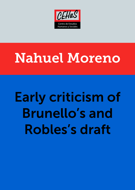

## Nahuel Moreno

# Early criticism of Brunello's and Robles's draft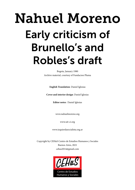## Nahuel Moreno Early criticism of Brunello's and Robles's draft

Bogota, January 1980 Archive material, courtesy of Fundacion Pluma

**English Translation**: Daniel Iglesias

**Cover and interior design**: Daniel Iglesias

**Editor notes:** Daniel Iglesias

www.nahuelmoreno.org

www.uit-ci.org

www.izquierdasocialista.org.ar

Copyright by CEHuS Centro de Estudios Humanos y Sociales Buenos Aires, 2021 cehus2014@gmail.com

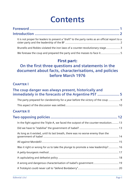## **Contents**

|  | It is not proper for leaders to present a "draft" to the party ranks as an official report to a |  |  |
|--|-------------------------------------------------------------------------------------------------|--|--|
|  | Brunello and Robles violated the iron laws of a counter-revolutionary stage3                    |  |  |
|  | We foresaw the coup and prepared the party and the masses to face it5                           |  |  |

## [First part:](#page-8-0)

## **[On the first three questions and statements in the](#page-8-0)  [document about facts, characterisations, and policies](#page-8-0)  [before March 1976](#page-8-0)**

## **[Chapter I](#page-8-0)**

| The coup danger was always present, historically and                                 |  |  |
|--------------------------------------------------------------------------------------|--|--|
| immediately in the forecasts of the Argentine PST 5                                  |  |  |
| The party prepared for clandestinity for a year before the victory of the coup  9    |  |  |
|                                                                                      |  |  |
| <b>CHAPTER II</b>                                                                    |  |  |
|                                                                                      |  |  |
| In the fight against the Triple-A, we faced the outpost of the counter-revolution 13 |  |  |
|                                                                                      |  |  |
| As long as it existed, until its last breath, there was no worse enemy than the      |  |  |
|                                                                                      |  |  |
| Was it right or wrong for us to take the plunge to promote a new leadership? 16      |  |  |
|                                                                                      |  |  |
|                                                                                      |  |  |
| A wrong and dangerous characterisation of Isabel's government 19                     |  |  |
|                                                                                      |  |  |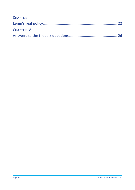| <b>CHAPTER III</b> |  |
|--------------------|--|
|                    |  |
| <b>CHAPTER IV</b>  |  |
|                    |  |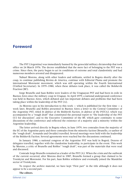## <span id="page-4-0"></span>Foreword

The PST (Argentina) was immediately banned by the genocidal military dictatorship that took office on 24 March 1976. The decree established that the mere fact of belonging to the PST was a crime. Since then, the party began to act in conditions of extreme and total clandestinity and had numerous members arrested and disappeared.

Nahuel Moreno, along with other leaders and militants, settled in Bogota shortly after the coup, to continue publishing *Revista de America,* continue with Editorial Pluma and promote the international Morenoist movement, which was still operating within the Fourth International (Unified Secretariat). In 1979–1980, when these debates took place, it was called the Bolshevik Fraction (BF).

Jorge Brunello and Juan Robles were leaders of the Uruguayan PST and had been in exile in Buenos Aires since the military coup in Uruguay. In April 1979, a national underground conference was held in Buenos Aires, which debated and run important debates and problems that had been taking place within the leadership of the PST (A).

As Moreno says in his introduction to this work — which is published for the first time — a week later, Brunello and Robles presented in Buenos Aires a letter to the Central Committee of the Argentine PST, titled *In defence of the Bolshevik Faction, in defence of the PST(A)*, which was accompanied by a "rough draft" that constituted the personal report to "the leadership of the PST (U) for discussion", and to the Executive Committee of the BF, which gave continuity to some discussions of the conference and reflected the existence of a majority and a minority within the Argentine leadership.

The letter arrived directly in Bogota when, in June 1979, two comrades from the majority of the EC of the Argentine party and three comrades from the minority faction (Brunello, co-author of the "rough draft", Armando and Osvaldo) travelled. Several meetings were held with the leadership of the Bolshevik Faction. Several agreements were reached but the discussions continued.

In January 1980, a national congress of the Argentine PST was held in Bogotá. Dozens of delegates travelled, together with the clandestine leadership, to participate in the event. This work by Moreno, a critic of Brunello and Robles' "rough draft", was part of the materials that were read and discussed.

Comrade Jorge Brunello remained as a leader of the PST (A). When the crisis and the outbreak of the current occurred, after Moreno died in 1987, Brunello formed a group that claimed to be Trotskyist and Morenoist. For his part, Juan Robles withdrew and eventually joined the Mandelist sector of Trotskyism.

To respect the archive material, we have kept "First part" in the title although it does not appear to be a second part.

#### **The editors.**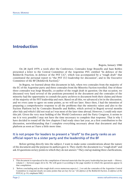## <span id="page-5-0"></span>Introduction

Bogota, January 1980

On 28 April 1979, a week after the Conference, Comrades Jorge Brunello and Juan Robles presented a letter to the Central Committee of the Argentine PST, entitled "In defence of the Bolshevik Fraction, in defence of the PST  $(A)$ ", which was accompanied by a "rough draft" that constituted the personal report to "the PST (U) leadership for discussion", and to the Executive Committee of the BF [Bolshevik Faction].1

In Bogota, we learned about this document in July, when two comrades from the majority of the EC of the Argentine party and three comrades from the Minority Faction travelled. One of those three comrades was Jorge Brunello, co-author of the rough draft in question. On that occasion, we discussed very hard several of the positions presented in the document and the comrades of the minority had the opportunity to consult the party archives to document both their claims and those of the majority of the PST leadership and ours. Based on all this, we advanced a lot in the discussion, and we even came to agree on some points, as we will see later. Since then, I had the intention of preparing a comprehensive response to all the problems that the minority raises and also to the Faction Platform led by Comrades Brunello and Robles, which arrived in Bogotá several months after July and which I did not read as I was most of the later time abroad. However, I could only start this job. Given the very near holding of the World Conference and the Party Congress, it seems to me it is very possible I may not have the time necessary to complete that response. That is why I have decided to round off the few chapters I had ready since last year, as a first contribution to the discussion, notwithstanding that I complete everything necessary about that document and that platform as soon as I have a little more time.

### **It is not proper for leaders to present a "draft" to the party ranks as an official report to a sister party and the leadership of the BF**

Before getting directly into the subject, I want to make some considerations about the nature of the document and the purpose its authors gave it. They clarify the document is a "rough draft" and ask 33 questions on key points to which they do not answer.2 They end up making three clarifications,

<sup>1</sup> This document is reproduced in the compilation of internal materials that the party leadership has just made — *History*, volume I — between pages 26 to 52. We will quote it according to the page number in which the quotations appear in that compilation.

<sup>2</sup> "Before concluding and as this rough draft covers numerous aspects (…) we ask the comrades of the Argentine Central Committee to respond clearly on some points that are key for us." (*In defence of the Bolshevik Faction, in defence of the PST(A)*, p. 51; emphasis NM.)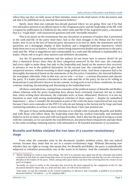<span id="page-6-0"></span>where they say they are fully aware of their *mistakes*, insist on the *draft* nature of the document, and ask that it be published on an internal discussion bulletin.<sup>3</sup>

Surely, more than one comrade has already guessed where we are going. How can it be that two old leaders present as an *official* report to the Uruguayan party and the leadership of the BF, with a request for publication in a bulletin for the entire rank-and-file of the Argentine party, a document that is a *"rough draft", with unanswered questions and with "inevitable mistakes".*

This is an attack on the seriousness that any document or position of leaders that is presented to the rank-and-file of the party must have. Just as the class struggle is the litmus test for every leader, how to act in the face of internal party discussion is no less so. Both, the statements and the questions, are a demagogic display of false modesty and a misguided polemic manoeuvre, which leads them not to act as leaders. A leader cannot bring unanswered doubts and questions to the party rank-and-file. What is magnificent and commendable in a rank-and-file militant is inadmissible in a leader, whose role is to give clear answers and definitive documents.

Are the 33 questions authentic and the authors do not know how to answer them? Or are they a rhetorical device since they do have categorical answers? In the first case, the comrades had every right to make them, but only to the leadership and, based on the answers they received, to advance or not in the political discussion. In the second case, the comrades had to give their *categorical answers*, without resorting to short-range political tricks. And those responses had to be thoroughly documented based on the statements of the Executive Committee, the internal bulletins, the newspaper editorials. Only in this way can we win  $-$  or lose  $-$  a serious discussion and educate the party. If a leader presents a document to the rank-and-file of the party, he has to be willing to demonstrate it and defend it down to its last comma. As long as he is not in these conditions, he must continue studying, documenting and discussing at the leadership level.

All these contradictions, coming from comrades of the political stature of Brunello and Robles, whose relations with the party leadership have always been extremely fraternal, led me to think that, when writing their document, the comrades were, at least, obfuscated. However, it is not my intention to start with strong methodological criticism of these aspects — despite its undoubted importance — since I consider the document as part of the crisis the party experienced last year and because I have seen comrades of the PST (A) who do not belong to the faction led by Jorge and Juan committing mistakes as serious or more serious than those I have just pointed out.

The goal of these methodological criticisms is to rebuild with Comrades Brunello and Robles and with those who follow them, the leadership team that has worked fraternally and intimately linked to us for so many years and with such good results. And it also has the goal of acting as a team with the comrades, so we can clarify the real differences, document them exhaustively and take them to the ranks avoiding confusing anyone with unfounded or ill-founded statements or accusations.

## **Brunello and Robles violated the iron laws of a counter-revolutionary stage**

From what the comrades raise in the document, another problem arises, this one indeed serious, because they insist that we are in a *counter-revolutionary* stage. Without discussing now whether they are right or wrong, this means that, for Brunello and Robles, the party is undoubtedly subjected to relentless persecution, one of the worst in its history. And the comrades themselves

<sup>3</sup> "Before finishing we want to raise three things. The first is to reiterate once again that all the criticisms and doubts contained in this draft are made being fully aware of our great limitations and errors and that they are the criticisms of disciples of the leaders of the party, which, among other great merits, has been that of having been the creator of our party in Uruguay.

<sup>&</sup>quot;Secondly, we want to clarify to the comrades that, forced by the haste imposed by the completion of the CC, this document should be taken only as a *draft* and that, later, we will write its *final text*.

<sup>&</sup>quot;And, lastly, we ask the comrades of the Central Committee to discuss it and, if possible, *to publish it in an internal discussion bulletin*." (*In defence …,* p. 53; emphasis NM.)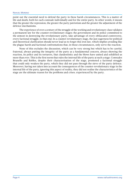point out the essential need to defend the party in these harsh circumstances. This is a matter of life and death, both for each comrade individually and for the entire party. In other words, it means that the greater the repression, the greater the party patriotism and the greater the adjustment of the defence mechanisms.

The experience of over a century of the struggle of the working and revolutionary class validates a permanent law for the counter-revolutionary stages: the government and its police committed to the utmost in destroying the revolutionary party, take advantage of every obfuscated controversy, every factional struggle, to that end. In a counter-revolutionary stage, the just eagerness for political and theoretical clarification should never lead us to forget this iron law, which implies avoiding like the plague harsh and factional confrontations that, in those circumstances, only serve the reaction.

None of this excludes the discussion, which can be very strong but which has to be careful, fraternal, always putting the integrity of the party as a fundamental concern, always showing the reaction, its police and its torturers, that clandestinity and the blows have united and solidified us more than ever. This is the first norm that rules the internal life of the party at such a stage. Comrades Brunello and Robles, despite their characterisation of the stage, promoted a factional struggle that could only weaken the party, which they did not pass through the sieve of the party defence. Moreover, having not taken into account the consequences of the counter-revolutionary stage in the internal life of the party, ignoring this aspect of reality, they did not realise the characteristics of the stage are the ultimate reason for the problems and crises. experienced by the party.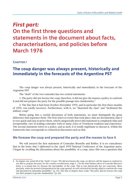## <span id="page-8-0"></span>*First part:*  **On the first three questions and statements in the document about facts, characterisations, and policies before March 1976**

**Chapter I**

## The coup danger was always present, historically and immediately in the forecasts of the Argentine PST

The coup danger was always present, historically and immediately in the forecasts of the Argentine PST

The "draft" of the two comrades has two central statements:

1. The party did not foresee the coup; therefore, it did not give the masses a policy to confront it and did not prepare the party for the possible passage into clandestinity.4

2. The line that it had from October-November 1975, and in particular the first three months of 1976, was totally incorrect. Furthermore, with it, we "disarmed the class" and "facilitated the military coup".

Before going into a careful discussion of both statements, we must distinguish the great difference that separates them. The first refers to *events* that took place, that are documented, that it is very quick and easy to prove them, which categorically prove this statement is completely false and irresponsible, rare in leading comrades with so many years of Trotskyist tradition and experience. The second statement refers to a policy, and as such, it is totally legitimate to discuss it, within the framework that corresponds to a historical discussion such as that.

## **We foresaw the coup and prepared the party and the masses to face it**

We will unravel the first statement of Comrades Brunello and Robles. It is no coincidence that in the letter that I addressed to the April 1979 National Conference of the Argentine party, I began by recalling the discussions about the possibility of a coup, since this was a question that

<sup>4</sup> In chapter one, point III of the "draft", it says: "We did not foresee the coup, we did not call the masses to confront it, nor did we prepare the party for the counter-revolutionary stage (…) In the mini balance-sheet of Comrade Moreno's letter, it is stated that we foresaw the inevitability of the coup. This is true historically but not concretely. More precisely, when the period of preparation for the coup opened, we self-criticised for having called to confront the coup and discarded its immediate possibility" (p. 27). The title of chapter three reads "The party did not foresee the coup nor did it prepare to go into clandestinity" (p. 32).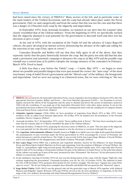had been raised since the victory of FREJULI.<sup>5</sup> Many sectors of the left, and in particular some of the main leaders of the Unified Secretariat, said the coup had already taken place under the Peron government. Only we said categorically and from the outset that this was not the case and that there was a danger of a Pinochet-style coup by the oligarchy and imperialism,

In September 1973, from Avanzada Socialista, we insisted on our alert that the Lanusse<sup>6</sup> plan closely resembled that of the Chilean military.7 From the beginning of 1974, we specifically warned that the oligarchy planned to wait patiently for the government to discredit itself and then win the elections or give a coup.8

At the end of 1974, with the escalation of the Triple-A9 and the advance of Lopez Rega's10 cohorts, the party developed an intense activity denouncing the advance of the right and calling for the rejection of any *coup d'état*, open or covert.11

Comrades Brunello and Robles will say that they fully agree in all of the above, that they expressly clarify that the party historically foresaw the coup. But the party not only did that but also *made a permanent and systematic campaign to denounce the coup as of May 1975 and the possible coup triumph was a central issue of its politics* (despite the strange memory of the comrades) in February-March 1976. Proof to hand.

A little less than a year before the Videla<sup>12</sup> coup  $-$  I insist, May 1975  $-$  we began to warn about two possible and parallel dangers that were just around the corner: the "auto coup" of the most reactionary wing of Isabel Peron's government and the "liberal coup" of the military, the bourgeoisie and imperialism. And we were not saying it in a historical sense, but we were referring to "the two

<sup>5</sup> **FREJULI**, the acronym for the Justicialist Liberation Front, was an Argentine electoral alliance formed in 1972, after the agreements between Lanusse, Balbin, and Peron — the Great National Agreement (GAN) — for Peronism to recover legality and join the efforts of the bourgeoisie and the army to channel and divert the ascent revolutionary started in 1969 with the Cordobazo. It was made up of the Justicialist (Peronist) Party with other minor parties. It ran for the presidential elections of March 1973 and September 1973, winning both times with the candidacies of Campora-Solano Lima and Peron-Peron, respectively. [Editor]

<sup>6</sup> **Alejandro Agustin Lanusse** (1918–1996), de facto president of Argentina from March 1971 to May 1973. Great architect of the so-called Great National Agreement. On 25 May 1973, he handed over the presidency to the Peronist candidate, Hector Campora. [Editor]

<sup>7</sup> *Avanzada Socialista*, No.7, 26 September 1973, article "Seven million look at Peron": "We have been warning for some time that the Lanusse plan of 11 March resembled the plan of the Chilean military."

<sup>8</sup> *Avanzada Socialista*, 15 March 1974, analysing the electoral course of FREJULI, we said: "The new plan of the oligarchy is to wait patiently for the discredit of the government to win the elections or overturn it through the coup."

<sup>9</sup> The **Argentine Anticommunist Alliance** (usually known as **Triple-A** or **AAA**) was a far-right death squad that initiated the assassinations of state terrorism under the Peron government in 1974, encouraged by a sector of Peronism, the union bureaucracy and the armed forces. The Triple-A was secretly led by Jose Lopez Rega, Minister of Social Welfare and it was responsible for the disappearance and death of almost 700 people. [Editor]

<sup>10</sup> **Jose Lopez Rega** (1916-1989) was a politician and Argentine minister, known for his influence on Juan Domingo Peron and Maria Estela (Isabel) Martinez de Peron and organising, from the position of Minister of Social Welfare, the Triple-A, a paramilitary right-wing terrorist group. His influence increased rapidly since 1973, especially after Peron's death in mid-1974, becoming a virtual prime minister because of his influence on Isabel Peron, to the point that almost all the cabinet was made up of men of his trust, promoted by him. Nicknamed "the Sorcerer" by his adversaries for his affinity to esotericism. [Editor]

<sup>11</sup> In the multiparty meeting of October 1974 our axis was the denunciation of the coup, with the slogan "Fight the coup without supporting the government" (*Avanzada Socialista*, year III, No 125, 15 October 1974). The editorial of issue No 130, of 28 November 1974, proposes three points for the workers' struggle. The first says: "Against any coup d'état, open or covert." We do not bring more examples since Brunello and Robles did not question this "historical" aspect.

<sup>12</sup> **Jorge Rafael Videla** (1925–2013) was the general who led the genocidal coup of March 1976 together with Admiral Massera and Brigadier Agosti. Between 1976 and 1978 he served as the de facto presidency of Argentina, in the first stage of the civic-military dictatorship self-titled National Reorganisation Process. [Editor]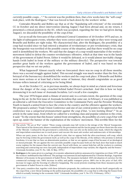*currently* possible coups …".13 So current was the problem then, that a few weeks later the "self-coup" took place, with the Rodrigazo.<sup>14</sup> that was forced to back down by the workers' strike.

Comrades Brunello and Robles say that as of the "liquidating self-criticism" of the extended CC in October and my direct intervention (during August I had been abroad and, on my return, I presented a critical position in the EC, which was accepted, regarding the line we had given during August), we discarded *the* possibility of the *coup d'état*.

Let us recall the forecasts of that celebrated Central Committee of 10 October 1975 and see, in the light of subsequent events, whether they were correct and we were right or they were wrong and Brunello and Robles are right today. We characterised that, after the Rodrigazo, the possibility of a coup had receded since we had entered a situation of revolutionary or pre-revolutionary crisis, that the bourgeoisie was terrified of the possible course of the situation, and that there would be no coup until it demobilised the workers. We said that the danger of a coup would materialise if the workers' movement failed to defeat the counter-revolutionary offensive, which at that time was in the hands of the government of Isabel Peron. Either it would be defeated, or it would almost inevitably change hands (with Isabel in front of the military or the military directly). The perspective was towards another great battle of the workers against the government of Isabel, and it was based on that perspective that we set our policy.

What happened? Almost exactly what we forecasted: there was no coup in all those months; there was a second struggle against Isabel. This second struggle was much weaker than the first, the betrayal of the bureaucracy demobilised the workers and the coup took place. If Brunello and Robles were more serious or at least had a better sense of humour, they should congratulate us as good fortune-tellers instead of criticising us for being blind.

As of the October CC, as in previous months, we always kept in mind as a latent and ferocious threat the danger of the coup, crouched behind Isabel Peron's armchair. And this is how we kept denouncing it in each issue of *Avanzada Socialista*. Let's recall a few examples.

The year 1976 began amid a climate of unrest and, to a certain extent, the question of the coup hung in the air. In the first issue of *Avanzada Socialista* that came out, in February, it was published as an editorial a call from the Executive Committee to the Communist Party and the Peronist Working Youth to launch a united front to face the crisis in the country and the offensive against the workers. We proposed a unitary Trade Union Conference and one of our central points to be approved at that conference was *a categorical pronouncement against the coup d'état, "a new looming threat*".15 In an article in the same issue, from which we called for a working-class and popular solution to the crisis, it said: "To the extent that this bosses' united front strengthens, *the possibility of a new coup d'état* will open up, under the banner of the exploitation of the workers' movement. This terrible blow for the

<sup>13</sup> The article "We are at War" ended: "These young comrades may fall victim to the mirage of the 'liberal' bourgeoisie. Their hatred of the democratic abuses committed by the government and the fascist gangs can throw them into the arms of the 'liberals'. Confused by the government's contictions, they can rely on the democratic mask, which the oligarchy and imperialism sometimes use to reach power and execute the most anti-worker and undemocratic of dictatorships. When our party poses, in the face of the political crisis, that we oppose both the ultra-reactionary self-coup, which may be brewing within the government itself, as well as the coup of the liberals, of the military who promise to defend freedoms, it is not that we have an abstentionist position, or that we are against coups d'état because of an ideological or moral principle. We are against the two currently possible coups because both are the back door that leads to much worse regimes for the masses than the current one. Faced with them, we cannot help but call the workers to continue searching and contracting our own class path, independent of imperialism coup variants, the oligarchy and the bosses." (*Avanzada Socialista*, year IV, No. 148, 31 May, 1975.)

<sup>14</sup> **Rodrigazo** is the name given to a package of economic adjustment policies announced in Argentina on 4 June 1975, and the workers' mobilisation that followed. The package was announced and implemented by Celestino Rodrigo, Argentine Minister of Economy in the government of Isabel Peron. The measures included: 150% devaluation of currency for the commercial exchange rate; 100% increase in utility and public transport prices; 180% rise in the price of fuel; 45% increase in wages and the freezing of collective bargaining. The social protests resulting from these measures put the government of Isabel Peron in crisis. [Editor]

<sup>15</sup> "Our party considers that, together with these defensive proposals, the conference must declare itself categorically on the coup d'état, a new threat looming on the political ground, the possibility of a coup that is reflecting the bosses front which is actually forming in the economic field." (*Avanzada Socialista*, year V, No 173, 9 February, 1976.)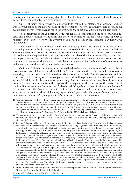country and the workers would imply that the bulk of the bourgeoisie would detach itself from the Peronist government, after having squeezed it to the end."

On 17 February, the party had the opportunity to make a brief statement on Channel 7, which was later published as the editorial page of the newspaper. There we said that we had to *"speak out against false or even worse alternatives, in the first place, the one that could attempt a military coup."16*

The central page of the 25 February issue was dedicated to insisting on the need for a workingclass and popular solution to the crisis and there we pointed to the *pro-coup groups, "apparently minority" that "want to 'solve' the problem with a slash of the sword, applying a Pinochet-style dictatorship."17*

Undoubtedly, the national situation was very confusing, which was reflected in the discussions that took place and in the disparity of positions that existed within the party. In an internal bulletin of 3 March, the national leadership pointed out that there were three positions in the party: those who did not believe in the possibility of a coup, those who considered that it was inexorable, and the third, of the party leadership, "which considers that whether the coup happens or the current situation continues and we get to the elections, it will be a consequence of a combination of circumstances and events and not the product of a single phenomenon."18

On Friday, 5 March, the country was shocked by the television announcement of a brutal plan of economic super-exploitation, the Mondelli Plan.19 If until that time the axis of our policy was to seek a working-class and popular solution to the crisis, denouncing both the Peronist government and the coup threat, from that day on the whole party launched itself to promote and lead the mobilisations against Mondelli, which began almost immediately. But the forecast of the coup is still present, it does not depart for a minute from the pages of the newspaper or the concerns of the party. One of the headlines of *Avanzada Socialista* on 15 March said: *"Coup d'état: prevent it with the mobilisation."*  In the same issue, the Executive Committee of the Socialist Youth called on the youth, workers and students to confront the Mondelli Plan, saying: *we did not ignore either the danger of a coup that lurked in the country and we called for a general strike of the workers' movement to face it*. 20

19 **Mondelli Plan** was the name given to an antiworker economic plan launched in February 1976. Its promoter was the Minister of Economy, Emilio Mondelli. [Editor]

<sup>16</sup> "For this reason, together with expressing the main responsibility of the government and the inconvenience of continuing for just one more minute, we must speak out against false or even worse alternatives, in the first place, the one that could attempt a military coup. The memory of the tragedies of 1955, 1963, and 1966 is still fresh in our memory, when different military dictatorships with their Pinedos and their Alsogarays as ministers, attacking and taking over unions, ended up bloodily confronting the workers and plunging the country into crises as terrible or more terrible than the current one." (*Avanzada Socialista*, year IV, No. 179, 23 February 1976.)

<sup>17</sup> The central-pages article, under the title "For a working-class and popular solution", said: "(…) there are apparently minority pro-coup groups who want to 'solve' the problem with a slash of the sword, applying a Pinochet-style dictatorship." (Ibid.)

<sup>18</sup> Internal Bulletin of 3 March 1976: "Around the possibility of a coup d'état in the immediate term, a fruitful controversy has arisen within the leadership and the entire party militancy. Saving logical nuances, three analyses of this possibility are outlined. First, the analysis holds that, as in August of last year, since the bourgeoisie does not plan a coup, nothing will happen. The coup d'état is a mere theoretical possibility, not a political one, more or less like the possibility the Portuguese socialist party will carry out the workers' revolution. This possibility may exist theoretically but today there is no political possibility it will take place. The second analysis, that considers there has been a coup plan by the Armed Forces since last year, and therefore everything that is happening inexorably brings us closer to the achievement and fulfilment of that plan. Therefore, the coup is inevitable and is already nearby. Third, the analysis of the party leadership that considers that the coup, if it takes place, and likewise if the current situation continues and we reach the elections, will be a consequence of a combination of circumstances and events and not the product of a single phenomenon, as the comrades supporting the other two positions reason and who believe there is practically no possibility of a coup. The party leadership holds that the only determining factors are the rise of the workers' movement and the plan of the bourgeoisie. For those who believe the coup is inevitable in a more or less immediate term, the determining element is an alleged coup plan by the Armed Forces. Even if it were true that the bourgeoisie as a whole continues to cling to bourgeois democracy and the GAN, likewise if the Armed Forces are behind the coup, none of these trends works in a vacuum. These trends, in the field of class struggle, have to deal with the plans of imperialism, as well as with the struggles of the working class. Not only in physics does material resistance exist; with as much or greater reason this phenomenon occurs in the class struggle."

<sup>20</sup> *Avanzada Socialista*, year V, No. 181, 15 March 1976.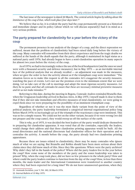<span id="page-12-0"></span>The last issue of the newspaper is dated 20 March. The central article *begins by talking about the imminence of the coup d'état, which took place four days later*. 21

We believe that so far, it is evident the party had the coup permanently present as a historical and immediate danger and its policy (about which we will discuss separately) had it in mind as a very serious problem.

## **The party prepared for clandestinity for a year before the victory of the coup**

The permanent presence in our analysis of the danger of a coup, and the direct repression we suffered, meant that the problem of clandestinity had been raised daily long before the victory of the coup. Many comrades will remember from their direct experience and from the tragic deaths we suffered at the hands of the death squads that the party, although it maintained its legal status as a national party until 1976, had already begun to have a semi-clandestine operation in many aspects for almost two years before the victory of the coup.

As of 1974, we had to increasingly reduce the use of the local headquarters (and the ones we used were with a thousand security and defence measures), but in May 1975 — as an inevitable internal face of the political analysis that we already recalled — an adjustment was made in the measures, when we gave the order to face the activity almost as if the triumphant coup were immediate: "The situation forces us to make this request to all the comrades: *let's exaggerate the security measures*, watching the pace of events. Let's not use the premises even to the minimum extent that we were doing. Let us take care of the call to meetings and adopt the most rigorous security measures. *Let there be no panic and that all comrades be aware that these are necessary minimal preventive measures and let us not make mistakes*."22

Referring to this date, during the meeting in Bogota, Comrade Andres reminded Brunello that, when the Uruguayan leadership arrived in Buenos Aires, *in May 1975*, I myself made it clear to them that if they did not take immediate and effective measures of total clandestinity, we were going to expel them since we were preparing for the possibility of an imminent triumphant coup.

Regardless of whether or not it was the most likely variant from the point of view of the political analysis, the party leadership formulated a categorical internal organisational policy long before March 1976: to increasingly act as if the triumph of the reactionary coup were imminent. This was so for a simple reason. We could not bet on the other variant, because if we were wrong (we did not prepare and the coup came), they would sweep us off the surface of the earth.

This is why, as of 1975, it was decided the best leaders of the party would dedicate themselves to preparing the clandestine apparatus. It was voted that all the comrades, especially the leaders, would change their address and that three clandestine printing apparatus would be built. All the zonal directorates and the national directorate had clandestine offices for their operation and to centralise the activity. A month before the coup, the party already had two clandestine printing apparatuses.

Because these are issues related to clandestinity, there may be many comrades who ignore much of what we are saying. But Brunello and Robles should have been more serious about their claims since they did know much of this. Since they like questions: Where were the party archives? Why didn't they fall in the hands of the police? Where did the party leaders live in the year before the coup? How come none of the members of the party and the zones leadership was taken to prison? Why, when the coup took place, did we have so few prisoners in the whole party? How and where could the party leaders continue to function from the day of the coup? How, in less than three months, the main leader and the International Commission were transferred to another country where they had been expected for a long time? We do not leave unanswered questions, when they

<sup>21</sup> *Avanzada Socialista*, year V, N0. 182, 20 March 1976.

<sup>22</sup> *Internal Bulletin* of 15 May 1975.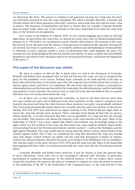<span id="page-13-0"></span>are rhetorical, like these. The answer is common to all questions: because for a long time the party was internally prepared in case the coup triumphed. We asked Comrades Brunello, Armando and Osvaldo almost all of these questions when they visited us, and at that time they did not know what to answer. The measures of clandestinity had been so drastic that, for example, Comrade Brunello does not know today where any of the comrades of the party leadership lived when the coup took place or the location of any apparatus.

Let's return to the bulletin of 3 March 1976. In very careful language, given that we still had legal status, 20 days before the *coup d'état*, we alerted the entire party that we should fundamentally prepare for it: "We believe we can pinpoint exactly whether that moment, the moment of the coup, has arrived or not. Because from the answer to this question two diametrically opposite orientations are derived; elections or clandestinity (…) it would be political and methodological irresponsibility to eliminate in such a delicate matter a series of phenomena that could liquidate the party. For reasons not only methodological but also for partisan precaution, we must consider the less probable hypotheses, but which, if they take place and we are not prepared for them, could mean the liquidation of the party."23

#### **This aspect of the discussion was settled**

We have to confess we did not like it much when we read in the document of Comrades Brunello and Robles their statements that we had not foreseen the coup, nor had we prepared the party for the possibility of its victory. Perhaps many comrades in the rank-and-file at the time or those who joined the party in the harsh years after the coup may have doubts about these events, or directly ignore them, and this is very legitimate. We also know that there is always a contradictory relationship between the lines put forward by the leadership, the official positions, and the individual expectations of each comrade, the nuances and, as reflected in the internal bulletin that we quoted, that there was a lot of discussion about the coup.

To all these new or then rank-and-file comrades, we have to tell them that for more than two years within our party and at different levels, three positions on the country's prospects were heatedly discussed and from the clash between these positions our policy was gradually outlined. The Coral wing systematically stated, about once a month, that the tanks were already on the streets. During 1974 and 1975 they summoned an urgent meeting of the Political Bureau eight times to report the coup had already been declared. These comrades lived during all that time in anxiety, almost desperate. A second wing held that there was no possibility of a coup and that the election was inevitable. This position was almost the majority at the rank-and-file of the party. Most of the leadership, of which I was a part, argued that Isabel's government was increasingly going to the right, which was the prelude to the coup, but that before the coup could be defined, major battles were pending between the Peronist government. and the workers — such as the Rodrigazo and the fight against Mondelli. The coup would only be struck upon the defeat of those future battles of the workers against Isabel. This is why we considered the wing that discarded the coup was suicidal since that danger existed without any doubt, and the wing that denounced it minute by minute, without fair characterisations, disarmed the party, preventing it from fulfilling its role as a mobiliser. The internal reality of the party between 1973–1974 and the coup was that. Most of the leadership kept arguing with these other two positions practically the entire time that the Peronist government lasted.

Comrades Brunello and Robles knew perfectly, if not the details, at least the general lines of these discussions. Given their ties to the newspaper's editorial staff, Brunello, in particular, participated in numerous discussions. In the political memory of the two leaders there cannot remain the anecdotes, the nuances, the jokes or comments to support an entire document to present to the leadership of the BF, to the leadership of the Uruguayan party, to the rank-and-file of the

<sup>23</sup> *Internal* Bulletin of 3 March 1976, already quoted.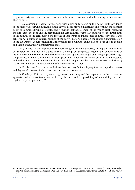Argentine party and to alert a secret faction in the latter. It is a method unbecoming for leaders and alien to ours.

The discussion in Bogotá, for this very reason, was quite heated on this point. But the evidence of the facts was overwhelming; in a single day we could prove exhaustively and without the slightest doubt to Comrades Brunello, Osvaldo and Armando that the statement of the "rough draft" regarding the forecast of the coup and the preparation for clandestinity was totally false. One of the first points of the minutes of the agreement signed by the BF leadership and these three comrades says that it was achieved "… a common general balance of the party's history, based on the existing documentation in the FB archive, documentation that the parties, for obvious reasons, had not been able to consult and that it exhaustively demonstrated that:

"c1) during the entire period of the Peronist governments, the party anticipated and pointed out the political and theoretical possibility of the coup, but the pressures generated by four years of legality, resulted in the forecast and the concrete alert against the *coup d'état* being imposed through the polemic, in which there were different positions, which was reflected both in the newspapers and in the Internal Bulletin (IB), despite all of which, unquestionably, *there are express resolutions of the EC to arm the party against the immediate possibility of a coup*;

"c2) it is clear from those resolutions that *the party had a policy against the coup*, the fairness and degree of fairness of which remains a matter of discussion;

"c3) in May 1975, the party voted to go into clandestinity and the preparation of the clandestine apparatus, with the contradiction implied by the need and the possibility of maintaining a certain legal activity as a party; (…)."24

<sup>24</sup> Minutes-agreement between the Secretariat of the BF and the delegations of the EC and the MF [Minority Faction] of the PST, summarising the meetings of 19 and 25 July 1979 in Bogota. *Addendum to Internal Bulletin* No. 43, of 3 August 1979.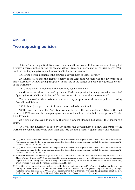## <span id="page-15-0"></span>Two opposing policies **Chapter II**

Entering now the political discussion, Comrades Brunello and Robles accuse us of having had a totally incorrect policy during the second half of 1975 and in particular in February-March 1976, until the military coup triumphed. According to them, our sins were:

1) Having helped destabilise the bourgeois government of Isabel Peron;<sup>25</sup>

2) Having stated that the greatest enemy of the Argentine workers was the government of Isabel-Kerensky, without giving us a policy in the face of the danger of a coup, the "greatest enemy" of the workers;<sup>26</sup>

3) To have called to mobilise with everything against Mondelli;

4) Allowing ourselves to be used by Calabro,<sup>27</sup> who was playing his own game, when we called to fight against Mondelli and Isabel and for new leadership of the workers' movement.<sup>28</sup>

For the accusations they make to us and what they propose as an alternative policy, according to Brunello and Robles:

1) The bourgeois government of Isabel Peron had to be stabilised;

2) The main enemy of the Argentine workers between the last months of 1975 and the first months of 1976 was not the bourgeois government of Isabel-Kerensky, but the danger of a Videla-Kornilov coup;

3) It was not necessary to mobilise thoroughly against Mondelli but against the "danger of a coup";

4) It was not necessary to seek by any means the development of a new leadership of the workers' movement that would push them and lead them to a victory against Isabel and Mondelli.

<sup>25</sup> "(…) we politically disarmed the class and helped to further destabilise the government and facilitate the military coup." "In March, we were the left-wing that contributed to destabilising the government so that the military prevailed." *In defence …,* op. cit., pp. 31 and 29.

<sup>26</sup> "(…) we politically disarmed the class and helped to further destabilise the government and facilitate the military coup." "In March, we were the left-wing that contributed to destabilising the government so that the military prevailed." *In defence …,* op. cit., pp. 31 and 29.

<sup>27</sup> **Victorio Calabro** (b. 1929) is an Argentine Peronist politician and trade unionist. He was a leading bureaucrat of the Metal Workers Union. In 1973, he was elected lieutenant governor of the province of Buenos Aires and then assumed as governor on 24 January 1974 after the resignation of Oscar Bidegain. He was demitted on 26 March 1976 by the coup d'état by Jorge Videla and the Junta de Comandantes. [Editor]

<sup>28</sup> "Our ideology made us dance to the beat played by Calabro and company (...)." "We did not realise that Calabro was betting on the coup and that, at that moment, he could accept allies who, like us, played along with his coup strategy." "Calabro played his game (...)." "What we do remember is that at that time we were doing ideology about the new leadership that emerged in the CGT, with Calabro at the head." *In defence …,* op. cit., p. 30.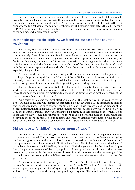<span id="page-16-0"></span>Leaving aside the exaggerations into which Comrades Brunello and Robles fell, inevitable given their factionalist position, we go to the content of the two opposing positions. For that, before touching on each of the four points that the "rough draft" raises, we will recall the first battles that our party had to fight against the counter-revolution, which began *two years* before the military coup of 1976 triumphed and that, inexplicably, seems to have been completely erased from the memory of the comrades who presented the draft.

### **In the fight against the Triple-A, we faced the outpost of the counterrevolution**

On 29 May 1974, in Pacheco, three Argentine PST militants were assassinated. A week earlier, another working-class comrade had been assassinated, also in the northern zone. We recall these dates to quickly place all the comrades in what were the years 1974 and 1975 in Argentina. At that time our ferocious and concrete struggle began against the outpost of the counter-revolution, the fascist death squads, the AAA. Until June 1975, the axis of our struggle against the government of Isabel went through the denunciation of the advance of the right, of the united front of Isabel with the military to repress with methods of civil war the workers' and revolutionary vanguard and especially the guerrillas.

To confront the attacks of the fascist wing of the union bureaucracy and the lumpen sectors that Lopez Rega encouraged from the Ministry of Social Welfare, we took measures of all kinds. Internally, it was the time when we began to defend our local headquarters that continued to operate while closing many of them because of the impossibility of defending them.

Outwardly, our policy was essentially directed towards the political superstructure, since the workers' movement, which was not directly attacked, did not feel yet the threat of the fascist danger. It was the time of the multiparty meetings to denounce the advance of the rightist offensive, of the much-discussed "meetings of the nine".

Our party, which was the most attacked among all the legal parties in the country by the Triple-A, played a leading role throughout this period, boldly advancing all the variants and slogans that we believed may catch on to confront the extreme right. This is why we raised the defence of the bourgeois institutions against the attack of the counter-revolution. This is why we tried, when Ortega Peña the grassroots Peronist MP was assassinated, a beginning of self-defence of the organisations of the left, which we could not concretise. The more attacked it was, the more the party refined its policy and the more the morale of our militants and workers' activists was tempered, who began to see us as leaders, for whom our slogan became flesh: "Fascism is not discussed, it is destroyed".

#### **Did we have to "stabilise" the government of Isabel?**

In June 1975, with the Rodrigazo, a new chapter in the history of the Argentine workers' movement was opened. For the first time, it took to the streets *en masse* to demonstrate against the Peronist government and won a colossal victory. It overthrew the Minister of Economy and his super-exploitation plan ("economically Pinochetist" we called it then) and caused the downfall of the hated Minister of Social Welfare, Lopez Rega. Until the general strike that liquidated Lopez Rega, the point of reference of the party's policy had been precisely the advance of the counterrevolutionary wing headed by the sorcerer-minister. From that moment on, the centre stage of the national scene was taken by the mobilised workers' movement, the workers' rise to overturn the government.

This was the situation that we analysed in the CC on 10 October, in which I made the analogy of Isabel's government with a lemon, as the "rough draft" recalls. We said the Argentine bourgeoisie was acting very cunningly, that it was "squeezing" the last drop of Isabel's government since it could still use it to go against the workers, repressing and super-exploiting them, and that, inevitably, when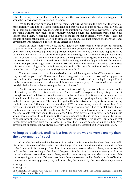<span id="page-17-0"></span>it finished using it  $-$  even if we could not foresee the exact moment when it would happen  $-$  it would be thrown away, as is done with a lemon.

We added that the only possibility for things not turning out like this was that the workers' mobilisation would knock it down beforehand and that we had to push in this sense. For us, the fall of Isabel's government was inevitable and the question was who would overthrow it, whether the rising workers' movement or the military-bourgeois-oligarchic-imperialist front, once it no longer served them. According to our analysis, to the extent that an alternative workers' leadership capable of guiding the mobilisation to its ultimate consequences did not emerge, the more the Isabel government was discredited, the closer the danger of a coup.

Based on these characterisations, the CC guided the party with a clear policy: to continue to the bitter end the fight against the main enemy, the bourgeois government of Isabel, until it overthrew it and imposed a provisional president chosen from among the workers' deputies of the parliament. Explicitly, the danger of the coup was in the background since we were perfectly aware that the general strike had momentarily pushed the coup away and the great immediate enemy was the government of Isabel in a united front with the military, and the only possible axis for workers' mobilisation passed through there. Comrades Brunello and Robles recall that I used, to substantiate this policy, the analogy with the Bolsheviks, who only called to fight against Kornilov in August, when the coup took place, and not in the previous months.<sup>29</sup>

Today, we reassert that the characterisations and policies we gave in that CC were very correct, they armed the party and allowed us to have a vanguard role in the last workers' struggles that preceded the Videla coup. Thanks to them, we were able to clearly confront the liquidating policy of the Peronist union bureaucracy, which in all those months kept saying: "Be careful with the coup, do not fight Isabel because that encourages the coup plotters."

For this reason, four years later, the accusations made by Comrades Brunello and Robles fill us with pride. For us, it is a merit to have "destabilised" the Argentine bourgeois government through workers' mobilisation. What worries us is that leaders of tradition and experience such as Brunello and Robles may have such an opportunistic position regarding a bourgeois, "reactionary and anti-worker" government.30 Because if we put in the affirmative what they criticise us for, during the last months of 1975 and the first months of 1976, the reactionary and anti-worker bourgeois government *was not* the "main enemy" of the Argentine workers and it had to be stabilised. This is the fundamental content of the position of the "rough draft", which translates into the expression "defend Isabel" that they use in the questions. A bourgeois government is never to be *"stabilised"* when there are possibilities to mobilise the workers against it. This is the golden rule of Leninism. Whoever says otherwise is a traitor to the workers' mobilisation. This is why Lenin taught that never, never, not even with the Cossacks in General Paz,<sup>31</sup> do we defend or support a bourgeois government or stabilise it; we always do everything possible to destabilise it with mobilisation.

#### **As long as it existed, until its last breath, there was no worse enemy than the government of Isabel**

Comrades Brunello and Robles commit a serious revisionist mistake when they repeatedly claim the main enemy of the workers was the *danger of a coup*. One thing is the coup and another is the danger of it. If the coup takes place, it is an enemy present, which is there, you can see the tanks in the street. As long as that doesn't happen, it is a ferocious but *potential* enemy. As long as the tanks, the workers and we are not there, we will have an enemy present, which is there, which is the bourgeois government. If the workers do not have the strength and leadership capable of leading them to face the enemy present, they will most likely be defeated by the potential enemy when it

<sup>29</sup> Ibid., p. 28.

<sup>30</sup> Ibid., p. 28.

<sup>31</sup> **General Paz** Avenue is a motorway that together with the Rio de la Plata and the Rio Matanza-Riachuelo delimits the city of Buenos Aires. [Editor]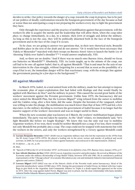<span id="page-18-0"></span>decides to strike. Our policy towards the danger *of a coup*, towards the coup *in progress*, has to be part of our politics of deadly confrontation towards the bourgeois government of the day because as bad or worse than not anticipating a coup is not preparing the workers every day to fight the government they have.

Only through the experience and the practice of mobilisation against that government, will the workers be able to acquire the mettle and the leadership that will allow them, when the coup *takes place*, to change immediately, in a day, in a minute, their *form* of struggle and defeat the military. As long as this is not the case, they will be politically disarmed both in the face of the bourgeois government and in the face of the coup if it occurs.

To be clear, we are going to answer two questions that, in their new rhetorical style, Brunello and Robles place in the text of the draft and do not answer: "Or it would have been necessary that Videla or Menendez<sup>32</sup> marched with their troops on Buenos Aires? Aires to launch the battle cry of 'shooting Videla over Isabel's shoulder'?"33 I would answer emphatically, YES.

And, so there are no doubts: "And if there was no march onto Buenos Aires, should we focus our batteries on Mondelli?"34 Absolutely, YES. As Lenin taught, up to the minute of the coup, our call had to be one: all against Isabel, that is, all against Mondelli: "That is and must be the axis of our intervention in the class struggle, without forgetting for a second that as soon as the possibility of a *coup d'état* is set, the immediate danger will be that reactionary coup, with the strategic line against the government *passing for a few days* to the background."35

#### **All against Mondelli!**

In March 1976, Isabel, in a total united front with the military, made her last attempt to impose the economic plan of super-exploitation that had failed with Rodrigo and that would finally be applied with Martínez de Hoz<sup>36</sup> and the military in power. This caused the second great battle of the workers' movement against the Peronist government. Unlike June 1975, the bureaucracy did not reject united the Mondelli Plan, but the Lorenzo Miguel<sup>37</sup> wing refused from the outset to mobilise and the Calabro wing, after a first faint, did the same. Despite the heroism of the vanguard, which was willing to take the plunge, the mobilisation was much lower than that of June 1975 and led, a few days later, to the military deciding to overturn the government of Isabel because it no longer had the massive support of the workers' movement and was no longer useful to them.

When the new economic plan was known on 5 March, the workers' mobilisation began almost immediately. The party was not taken by surprise. As the "draft" relates, we immediately said, "let's fight Mondelli like before we fought Rodrigo". We knew this was the only real way to mobilise Argentine workers. If we won, there would be neither Mondelli nor a coup; if we lost, there would be not only Mondelli but probably also a coup. The coup could not be stopped with statements but with the workers in the streets, and only the workers strengthened by a victory against Mondelli could

<sup>32</sup> **Luciano Benjamin Menendez** (1927–2018) was an Argentine military man who led the repression in the 1970s from the III Army Corps (1975–1979). He played a leading role in the arrest, torture and murder of political and social activists. In 2005, he was prosecuted for crimes against humanity and sentenced to life imprisonment. [Editor]

<sup>33</sup> *In defence …,* op. cit., p..30.

<sup>34</sup> Ibid..

<sup>35</sup> "Speech of NM in the CC of 10 October 1975", in *Peronism in its definitive crisis*, PST, Buenos Aires, January 1976, p.17.

<sup>36</sup> **Jose Alfredo Martinez de Hoz** (1925–2013) was an Argentine executive and policymaker. He served as Minister of the Economy under the military dictatorship of Jorge Rafael Videla, between 1976 and 1981. He is considered a political representative of the "Chicago school" of economic liberalism at any cost and intimately linked to international financial agencies and centres. [Editor]

<sup>37</sup> **Lorenzo Miguel** (1927-2002) was one of the historic chiefs of the Peronist trade union bureaucracy. Head of the powerful metalworkers' union (UOM) since 1970. During the government of Isabel Peron, he linked with Jose Lopez Rega to give birth to the Argentine Anti-Communist Alliance or Triple-A a death squad that appeared on the scene in 1973. After the coup against Isabel Peron, Miguel was sent to prison, but his close relationship with Junta member Admiral Emilio Eduardo Massera protected him. [Editor]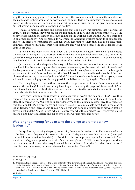<span id="page-19-0"></span>stop the military coup plotters. And we knew that if the workers did not continue the mobilisation against Mondelli, there would be no way to stop the coup. That is the summary, the essence of our policy, which we consider to be not only correct but also brilliant, one of the great sources of our current strength and an example of Leninist politics.

Today, Comrades Brunello and Robles hold that our policy was criminal, that it served the coup. As an alternative, they propose for the last months of 1975 and the first months of 1976 the policy of denouncing the danger of a coup, calling on the working class and the CGT to confront it in an armed manner.<sup>38</sup> And by March 1976, when the Argentine workers began to spontaneously take to the streets to repudiate the Mondelli Plan, according to them they had to be told: "stop, comrades, make no mistake: forget your stomachs and your lives because the great danger is the coup in progress".39

It may be that today, when we all know that the mobilisation against Mondelli failed, despite the heroism of many working-class activists who were willing to stick their neck out, despite the calls of the party; when we all know the military coup triumphed on 24 March 1976, some comrade may be shocked or in doubt by the new positions of Brunello and Robles.

Just as we assert that the policy the party had then was the best because it was the only one that could mobilise the workers against the bourgeois government, we also assert that what Brunello and Robles propose today would have been, on the one hand, a complete capitulation to the bourgeois government of Isabel Peron and, on the other hand, it would have played into the hands of the coup plotters since, as they acknowledge in the "draft", it was impossible for it to mobilise anyone, it was a demobilisation policy against the only possible mobilisation, the fight against Mondelli.

Have they forgotten that, in those last months, the government of Isabel Peron was almost the same as the military? It would seem they have forgotten not only the pages of *Avanzada Socialista*, the internal bulletins, the clandestine measures in which we lived for years but also what life was like for workers in the last months before the coup.

Have they forgotten the runaway inflation, starvation wages, the ban on strikes? Have they forgotten the murders by the Triple-A, the brutal repression in the direct hands of the military? Have they forgotten the "Operation Independence"40 and the military courts? Have they forgotten that the Mondelli Plan froze wages and brutally raised prices in a single day? That in the case of urban transport the increase was 150%? And all this was done in a united front between Isabel's government and the Armed Forces, which — contrary to what the comrades say — were very united on one point: how to massacre and super-exploit the workers more and better.

#### **Was it right or wrong for us to take the plunge to promote a new leadership?**

In April 1979, attacking the party leadership, Comrades Brunello and Robles discovered what is the key to what happened in Argentina in 1976: "Today we can see that Calabro (…) stopped the mobilisation (against Mondelli) at the right point to help the coup and to prevent it from acquiring such great proportions as to also face the coup plotters."<sup>41</sup> What took three years for these two comrades to discover, the party knew while our militants, from the factories, from the zonal coordinating committees, promoted the mobilisation against Mondelli.

41 *In defence …,* p. 30.

<sup>38</sup> In defence .., op. cit., p. 31.

<sup>39</sup> Ibid., p. 30.

<sup>40</sup> **Operation Independence** refers to the action ordered by the government of María Estela (Isabel) Martínez de Peron, to the Argentine Army and Air Force, to "neutralise and/or annihilate" the actions of what was defined as "subversive elements" in the Province of Tucuman. The operation included combats and repressive acts against the guerrilla organisation Revolutionary People's Army (ERP). [Editor].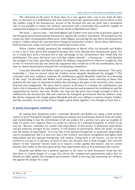<span id="page-20-0"></span>The obsession of the party in those days, in a race against time, was to see from all sides how, on the back of a mobilisation that had started practically spontaneously and in which at first the Calabro wing of the bureaucracy, sectors of the Peronist left and our party had a prominent role, it was possible to endow the workers' movement with a leadership that would be capable of consistently leading it to mobilisation until the defeat of Mondelli and Isabel.

We knew — and we said — that both Miguel and Calabro were part of the reactionary game of the bourgeois government and the bureaucracy against the workers' movement. We pointed out the reason for their circumstantial differences: while Miguel was playing the top-down and Bonapartist project, Calabro played the anti-top-down bourgeois-democratic project. Above these differences, both bureaucratic wings were part of the united anti-worker front.

When Calabro initially promoted the mobilisation in March 1976, for Brunello and Robles it was a sin to have given him [support] because they were playing their bureaucratic game. For us, it would have been a betrayal not to take advantage of any circumstance that would help the mobilisation. The party did know very well that Calabro himself — a bureaucrat — could abandon the struggle at any time, agreeing with Isabel, the military coup plotters or whoever it might be; that is why we warned from day one about the arguments they would use to lift the mobilisation, that is why we almost desperately promoted the coordinating committees.

Comrades Brunello and Robles make an irresponsible, false and unfair statement: "The party leadership (…) had no answer when the Calabro sector abruptly abandoned the struggle."42 The comrades who were calling to continue the mobilisation against Mondelli "until the very morning of the coup" (as Brunello and Robles recall among their criticisms when referring to those who picketed the last issue of *Avanzada Socialista* that morning at the gates of the factories), they cannot help but react indignantly. The party had its answer at all times: to continue the mobilisation, and that is why it denounced the capitulation of the bureaucrats and promoted the mobilisation and the organisation by factory and zone. Neither the class nor the party had enough strength to blow to smithereens the bureaucratic slab and confront the bourgeois government and the military coup. But all the vanguard who fought against Mondelli and who was willing to continue despite Calabro, just like our party, we are proud to have fought a great battle together, even though we have lost it.

## **A petty-bourgeois method**

By raising their disastrous policy, Comrades Brunello and Robles are using a fatal method, typical of petty-bourgeois thought, separating an isolated and tendentious element from all reality, and transforming it into the determinant of all our politics for a period. Let's give an example of what we mean. Let's suppose there is a strike in a factory of a national bourgeois, to which we go and say: "Beware, comrades, be careful with imperialism. If this factory is destroyed, imperialism will get relatively stronger in our country, it will deepen its penetration. With our strike, we play into the hands of imperialism." It is true that if the national bourgeoisie is weakened, imperialism can be strengthened. But it is also true that if the workers' movement strengthens and fights, both imperialism and the national bourgeoisie will weaken. Going back to the factory, we are for the workers to occupy it, to advance as much as they can, because that is their struggle. The concrete misery of that "national" factory leads us to launch a strike against that misery, and we cannot dissolve that reality in the more general fact that imperialism more or less dominates the country.

Brunello and Robles use a method opposite to the latter in their document. From the fact that there is a latent danger of a coup, they derive the criminal and opportunistic policy that we should not fight against the bourgeois government, which is starving and repressing the workers, but against the danger of a coup.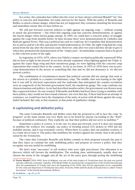<span id="page-21-0"></span>In a sense, the comrades have fallen into the error we have always criticised Mandel<sup>43</sup> for. Our policy is concrete and immediate, for today and not for the future. With the policy of Brunello and Robles, to attack a future danger, which has not yet happened, they renounce attacking the ferocious and immediate enemy that we have before us.

We will put forward concrete policies to fight against an ongoing coup  $-$  without ceasing to attack the government — but when this ongoing coup has concrete demonstrations, or against the fascist danger when fascist gangs emerge. In 1955, we could have a concrete policy of struggle against the coup from months before 16 June because there were demonstrations by Catholics and Radicals against Peron. That was a political fact and we could say: let's repudiate that demonstration for so and so and let's do this, and anyone would understand us. In Chile, the right-wing had the coup posed from the day after the electoral count. However, only after two years did they decide to give it when they promoted the demonstration of the "empty pots". An immediate response had to be given to this concrete action of the right.

In Argentina, in 1974, 1975, where was Videla's counter-revolution politically expressed? Who did we have to fight in the streets? As we have already explained, when fighting against the Triple-A, against the Lopez Rega wing and their murderous gangs, we were fighting with the concrete coup expressions that existed then in the country. As far as we know, in 1975 or 1976 there was no procoup demonstration in the streets or something like that and we did not denounce it, we did not present a policy.

The combination of circumstances meant that political currents did not emerge that took to the streets as a prelude to a counter-revolutionary coup. The middle class was leaning to the right but it was still in electoral expectation and the outbreaks that anticipated the counter-revolution were an outgrowth of the Peronist government itself, the murderous gangs. The coup confirms our characterisations and politics. As we had described months earlier, the government was thrown away like a squeezed lemon. No one resisted. If Brunello and Robles had been there trying to mobilise with their politics, they would not have found a listener, not even that day. If there had been an attempt of resistance, we would have been the champions of the unity of action with all those against the coup, Isabel included. But only at that moment, at that point of qualitative change.

## **A capitulating and defeatist policy**

The same Comrades Brunello and Robles warn that the proposal to call to face the coup "in progress" as the main enemy was very likely not to be heard by anyone (according to the "draft" because of political confusion). They explicitly say that their politics did not serve to mobilise.<sup>44</sup>

Sometimes a policy is correct, it is the one we must put forward, even if it does not manage to mobilise the workers. For example, our policy of forming armed CGT pickets in 1955 did not mobilise anyone, and it was extremely correct. When there is a policy that can mobilise workers, it is a crime not to raise it. The policy that mobilises the workers against the enemy class is the policy raised by the Trotskyists.

The crime that Comrades Brunello and Robles commit in their proposal towards the past is that they reject as criminal the only mobilising policy and propose as correct a policy that they recognise was not useful for mobilising.

We don't want "successes" to tell workers who were right *post-festum*. Our obsession is to discover which call favours the mobilisation. The working class, unfortunately, usually does not choose the arena of the struggle and all the art of the party goes through posing the mobilising

<sup>43</sup> **Ernest Mandel** (1923-1995), born in Belgium, was one of the main leaders of Trotskyism since the post-war period and also a Marxist economist. Together with Michel Pablo, he promoted the reorganisation of the Fourth International after the assassination of Trotsky and, since the beginning of the 1950s, they led the opportunist sector, responsible for the crisis and dispersion of Trotskyism since then. From the 1960s until his death, he headed the so-called "United Secretariat" of the Fourth International. [Editor]

<sup>44</sup> In defence .., op. cit., p. 31.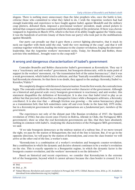<span id="page-22-0"></span>slogans. There is nothing more unnecessary than the false prophets who, once the battle is lost, criticise those who committed to what they failed to do. I wish the Argentine workers had had enough leadership and experience to have fought against Isabel, against Mondelli and the military coup plotters, defeated them, imposed a provisional workers' president, made armed pickets to defend that conquest and thus continued until the dictatorship of the proletariat. If there was a heroic vanguard in Argentina in March 1976, which to the best of its ability fought against the Videla coup, it was the hundreds of activists (many of them from our party) who took part in the mobilisations against Mondelli.

Our party can proudly say that it gave them a correct fighting alternative, that it stuck its neck out together with them until the end, "until the very morning of the coup", and that it will continue together with them, leading the resistance to the counter-revolution, forging the alternative leadership. that the Argentine workers' movement seeks. Today, for Brunello and Robles, those activists who mobilised… brought water to the coup mill.45

### **A wrong and dangerous characterisation of Isabel's government**

Comrades Brunello and Robles characterise Isabel's government as Kerenskyist. They say it was a "reactionary and anti-worker" government, but bourgeois-democratic, with its main point of support in the workers' movement, via "the transmission belt of the union bureaucracy", that it was a weak government, which Isabel tried to arbitrate, and that "basically resembled Kerensky's", which had Kerenskyist elements. So that there is no doubt, they appeal to the analogy: Kerensky/Isabel vs. Kornilov/Videla.46

We completely disagree with this novel characterisation. From the first words, the contradictions begin. The comrades reaffirm the *reactionary and anti-worker* character of the government. Although on a historical and general scale every bourgeois government is reactionary and anti-worker, this statement disqualifies the definition of Kerenskyist. It is also true that Isabel tried to play as an arbiter but that precisely defined her as a Bonapartist (since while a Bonaparte *arbitrates*, a Kerensky *conciliates*). It is also true that — although friction was growing — the union bureaucracy played as a transmission belt; that belt sometimes came off and even broke in the June-July 1975 strike, but in a Kerenskyist government the workers' organisations are *a fundamental part, members of the government.*

The experiences not only of the distant past (the Russian revolution of 1917, the Spanish revolution of 1936), but also recent ones (Torrez in Bolivia, Allende in Chile, the Portuguese MFA government), show us what the real Kerenskyist governments are like, that they have absolutely nothing in common with Isabel's. Analysing the characteristics of the Portuguese MFA government, we said:

"If we take bourgeois democracy as the midway station of a railway line, if we move toward the right, we pass by the station of Bonapartism; the end of the line is fascism. But, if we go in the opposite direction, we will pass by the station of Kerenskyism, and cross the class frontier we will arrive at the other end of the line, a worker's state.

"Kerenskyism is a combination of a worker's revolution and bourgeois counter-revolution. But a combination in which the dynamic and decisive element continues to be a worker's revolution on the rise. This is exactly opposite to a Bonapartist regime, in which the dynamic factor is the bourgeois counter-revolution, and the workers' movement is on the defensive."47

Based on historical and recent experience, we consider that Kerenskyism is the extreme left of the bourgeoisie, beyond which it cannot advance because the class border is crossed. It is a

<sup>45</sup> Ibid.

<sup>46</sup> Ibid., p. .30.

<sup>47</sup> Nahuel Moreno: *Revolution and counter-revolution in Portugal*, July 1975, CEHuS, Buenos Aires, 2016, p. 35. Available to download from nahuelmoreno.org/en/english/.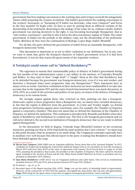<span id="page-23-0"></span>government that lives making concessions to the working class and trying to *reconcile* the antagonistic classes while preparing the counter-revolution. Did Isabel's government live making concessions to the workers' movement, or "harassing it? If Isabel was Kerensky, what were Campora<sup>48</sup> and Peron in the first months? To begin with, we have to start by putting them as different variants of the dictatorship of the proletariat. Returning to the analogy of the train, for us, without a doubt, Isabel's government was moving decisively to the right, it was becoming increasingly Bonapartist, that is, "anti-worker, reactionary", and that is why it led to the ultra-reactionary regime of Videla. The entire government of Isabel was the prelude to the military coup, not the dictatorship of the proletariat. Videla–Martinez de Hoz were the continuation of Rodrigo–Lopez Rega–Isabel–Mondelli.

For all this, the party defined the government of Isabel Peron as essentially Bonapartist, with bourgeois-democratic forms.

This discussion is important so as not to allow confusion in our definitions, but in any case, we want to insist that, given the *bourgeois* character of Isabel's government (even if it had been Kerenskyist), it was for that reason the great enemy of the Argentine workers.

#### **A Trotskyist could never call to "defend Bordaberry"49**

The eagerness to sustain their unsustainable policy of defence of Isabel's government during the last months of her administration causes a rare failure in the memory of Comrades Brunello and Robles. As they state in their "rough draft", I "taught" them at the time that Bordaberry had to be defended because his government was bourgeois-democratic, even if it was anti-worker, and therefore a thousand times more progressive than any Bonapartism.50 Their statements have as many errors as words. And these confusions in their memories are more inadmissible if we take into account that in the Argentine PST and the entire Fourth International there was much discussion, in 1974-1975, as a result of the activities and politics of our party, on issues of the defence of bourgeois democracy at its various levels.

We strongly argued against those who criticised us then, pointing out that a bourgeoisdemocratic *regime* is more progressive than a Bonapartist one, no matter how curtailed democracy is, but that the regime is different from the *government*. As Lenin and Trotsky taught, we defend more progressive *institutions* against more reactionary ones. For example, the Chamber of Deputies against a corporative chamber. This does not mean that we defend the chairman of the Chamber of Deputies; we defend the institution. This confusion is introduced by Brunello and Robles when they speak of Bordeberry and Parliament in a united way. The first is the bourgeois government and we will never defend it; the second is an institution of bourgeois democracy that we are ready to defend against Bonapartism.

In the discussions we held in Bogota, Comrade Jorge {Brunello] insisted on his erroneous memories, pointing out that in 1974 I had held the same position that I now criticise.<sup>51</sup> we must stop at this point because what he proposes is no small thing. The Uruguayan comrades especially have to meditate very well because this official report to the party is stating that Bordaberry should have been defended against the coup.

<sup>48</sup> **Hector Jose Campora** (1909-1980) was an Argentine politician. Peron chose him as his "personal delegate" in 1971. Candidate for Frejuli and including the conservative politician Solano Lima as vice president, he won the elections in March 1973 with more than 49.5% of the votes. In agreement with Lanusse, Peron forced them to resign on 13 July 1973, assuming the presidency Raul Lastiri, the president of the Chamber of Deputies. The latter called for elections again, resulting in the election of Peron and his wife, Maria Estela (Isabel) Martinez de Peron, as president and vice president in September 1973. [Editor]

<sup>49</sup> **Juan María Bordaberry** (1928–2011) was an Uruguayan politician and cattle baron, who served as constitutional president between 1972 and 1973, and as dictator between 1973 and 1976. [Editor]

<sup>50</sup> In defence .., op. cit., p. 31.

<sup>51</sup> Recorded tapes of the Bogota meeting (July 1979). "**Jorge**: you say the policy of defending Isabel is opportunistic. However, in the controversy of 1974 with the majority, you upheld the same policy that you now call opportunistic. **Hugo**: Well, bring me the quote where it says that we support a bourgeois government. I never said that."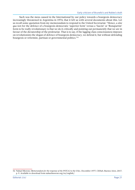Such was the mess caused in the International by our policy towards a bourgeois democracy increasingly threatened in Argentina in 1974, that it left us with several documents about this. Let us recall some quotation from my memorandum to respond to the United Secretariat: "Hence, a *sine qua non* for the defence of a bourgeois-democratic 'superior form' versus a 'fascist' or 'Bonapartist' form to be really revolutionary is that we do it critically and pointing out permanently that we are in favour of the dictatorship of the proletariat. That is to say, if the lagging class consciousness imposes on revolutionists the slogan of defence of bourgeois democracy, we defend it, but without defending bourgeois or reformist, partisan or governmental politics."52

<sup>52</sup> Nahuel Moreno: *Memorandum for the response of the PST(A) to the USec*, December 1977, CEHuS, Buenos Aires, 2017, p. 9. Available to download from nahuelmoreno.org/en/english/.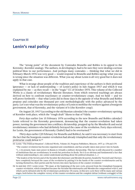## <span id="page-25-0"></span>Lenin's real policy **Chapter III**

The "strong point" of the document by Comrades Brunello and Robles is its appeal to the Kerensky–Kornilov analogy. The authors, in developing it, had to be sure they were dealing a serious political blow to our performance. And perhaps many comrades — thinking that what we did in February-March 1976 was very good — would respond to Brunello and Robles saying: what you say is wrong since the situation was different. What you say about Lenin is all very good but it does not apply in that case.

What is strange about people of the tradition and experience of the authors is their profound ignorance — or lack of understanding — of Lenin's policy in July-August 1917 and which it was explained by me — as they recall — in the "tragic" CC of October 1975. This volume of the *Collected Works* is a classic of revolutionary Marxist literature, from which renewed teachings are always derived on how to confront reactionary or counter-revolutionary coups. And we hold — and we will prove forthwith — that what Lenin did in those days is *the opposite* of what Brunello and Robles propose and coincides one thousand per cent methodologically with the policy advanced by the party. Let's see what was the revolutionary policy of Lenin to mobilise the workers against a bourgeois government, that of Kerensky, and the variants of it (the Kornilov coup).

On August 25, 1917 (according to the old Russian calendar) the counter-revolutionary uprising of Kornilov took place, which the "rough draft" likens to that of Videla.

*Forty days* earlier (on 15 February 1976 according to the new Brunello and Robles calendar) Lenin referred to the Kerensky government, denouncing that the counter-revolution had taken power, turning the government into a military dictatorship, propped up by the Menshevik and social revolutionary ministers who had definitely betrayed the cause of the revolution. Forty days referred, for Lenin, the government of Kerensky (Isabel) had to be overturned.53

*Thirty days* earlier (25 February for Brunello and Robles), he said it was necessary to start from the fact that the bourgeois counter-revolution had already triumphed and that only the revolutionary proletariat could defeat it.54

53 Lenin: "The Political Situation", *Collected Works*, Volume 25, Progress Publishers, Moscow, 1977, p. 178 and 179.

"The counter-revolution has become organised and consolidated, and has actually taken state power into its hands.

"(…) At present, basic state power in Russia is virtually a military dictatorship. This fact is still obscured by a number of institutions that are revolutionary in words but powerless in deeds. Yet it is so obvious and fundamental a fact that without understanding it, one cannot understand anything about the political situation. (…)

"The leaders of the Soviets and of the Socialist-Revolutionary and Menshevik parties, headed by Tsereteli and Chernov, have completely betrayed the cause of the revolution by putting it in the hands of the counter-revolutionaries and by turning themselves, their parties and the Soviets into mere fig-leaves of the counter-revolution."

54 In mid-July 1917, Lenin wrote: "We must, at the beginning of the new cycle, proceed from the triumphant bourgeois counter-revolution, which triumphed because the Socialist-Revolutionaries and Mensheviks compromised with it, and which can be defeated only by the revolutionary proletariat. Of course, in this new cycle there will be many and various stages, both before the complete victory of the counter-revolution and the complete defeat (without a struggle) of the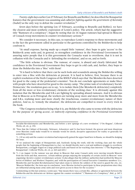*Twenty-eight* days earlier (on 27 February for Brunello and Robles), he described the Bonapartist features that the government was assuming and *called for fighting against the government of Kerensky (Isabel)* as the only way to defeat the counter-revolution.55

*Seven days* before the uprising (on 17 February, according to Brunello and Robles), we have the clearest and most synthetic expression of Lenin's policy. The article, which had the suggestive title "Rumours of a conspiracy", began by noting that on 14 August rumours had spread in Moscow of Cossack troop movements in counter-revolutionary actions.56

We consider it necessary, in this case, to reproduce Lenin's response to these movements and to the fact the government called in particular to the garrisons controlled by the Bolsheviks to help confront it.

"At small expense, having made up a stupid little 'rumour', they hope to gain 'access' to the Bolshevik army units and, in general, to strengthen confidence in the Provisional Government by assuring naive people that it is this government the Cossacks want to overthrow, that it is not in collusion with the Cossacks and is 'defending the revolution', and so on, and so forth.

"The little scheme is obvious. The rumour, of course, is absurd and clearly fabricated. But confidence in the Provisional Government they hope to get in cold cash, and, further, they hope to draw the Bolsheviks into a 'bloc' with them!

"It is hard to believe that there can be such fools and scoundrels among the Bolsheviks willing to enter into a bloc with the defencists at present. It is hard to believe, first, because there is an explicit resolution of the Sixth Congress of the RSDLP which says that 'the Mensheviks have deserted for good to the camp of the proletariat's enemies'. You do not conclude agreements or make blocs with people who have deserted for good to the enemy camp. 'The prime task of revolutionary Social-Democrats,' the resolution goes on to say, 'is to isolate them [the Menshevik defencists] completely from all the more or less revolutionary elements of the working class.' It is obviously against this isolation that the Mensheviks and S.R.s are fighting by spreading absurd rumours. And it is obvious that in Moscow as in Petrograd, the workers are turning away more and more from the Mensheviks and S.R.s, realising more and more clearly the treacherous, counter-revolutionary nature of their policies. And so, to 'remedy the situation', the defencists are compelled to resort to every trick in the book.

"The Congress resolution being what it is, any Bolshevik who came to terms with the defencists for the purpose of 'giving access', or *indirectly expressing confidence in the Provisional Government* 

Socialist-Revolutionaries and Mensheviks, and before a new upsurge of a new revolution." ("On Slogans", *Collected Works*, ob. cit., p. 192.

<sup>55</sup> "Now that the Cabinet of Kerensky, Nekrasov, Avksentyev and Co has been formed, the gravest and most disastrous error Marxists could make would be to mistake words for deeds, deceptive appearances for reality or generally for something serious.

<sup>&</sup>quot;(…) If we *only* said the counter-revolution had temporarily gained the upper hand here in Russia, we should be dodging the issue.

<sup>&</sup>quot;If we analysed the origin of Bonapartism and, fearlessly facing the truth, told the working class and the whole people that the beginning of Bonapartism is a fact, we should thereby start a real and stubborn struggle to overthrow Bonapartism, a struggle waged on a large political scale and based on far-reaching class interests." ("The Beginning of Bonapartism", *Collected Works*, ob. cit., p. 223 and 225.)

<sup>56</sup> "(…) on August 14 the rumour was put about in Moscow that some Cossack units were moving towards Moscow from the front and that, moreover, 'certain military groups enjoying the sympathy of certain circles in Moscow' were organising 'decisive counter-revolutionary actions'. It also alleges that the military authorities had notified the Moscow Soviet of Soldiers' and Workers' Deputies, and 'with the participation of Central Executive Committee members' (i.e., Mensheviks and Socialist-Revolutionaries) had taken steps to inform the soldiers of the need to guard the city, etc. 'Moscow Bolsheviks,' the item says in conclusion, 'were likewise invited to participate in these preparations since they are influential among many army units and were given access to these for the occasion.'"

Commenting on this last sentence, Lenin says: "that means there was a certain *bloc*, alliance or agreement between the Bolsheviks and the defencists on 'defence against the counter-revolution'." ("Rumours of a Conspiracy", ibid., p. 247.)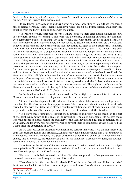#### *(which is allegedly being defended against the Cossacks), would, of course, be immediately and deservedly expelled from the Party.*"57 (Emphasis ours.)

Re-read these lines, Argentine and Uruguayan comrades: according to Lenin, those who form a bloc to defend Kerensky (Isabel) against Kornilov (Videla) are expelled "immediately and deservedly expelled from the Party." Let's continue with the quote.

"There are, however, other reasons why it is hard to believe there can be Bolsheviks, in Moscow or elsewhere, capable of forming a bloc with the defencists, of forming anything like common, even temporary, bodies, of making any kind of deal, etc., with them. Let us imagine a situation most favourable to such rather unlikely Bolsheviks; let us assume that in their naïveté they actually believed in the rumours they hear from the Mensheviks and S.R.s; let us even assume that, to inspire them with confidence, they were given certain, likewise invented, 'facts'. It is obvious that even in these circumstances, not a single honest Bolshevik who has not completely lost his head would agree to any bloc with the defencists, would make any deals on 'giving access', etc. *Even in these circumstances, a Bolshevik would say: 'Our workers and soldiers* will fight the counter-revolutionary troops if they start an offensive now against the Provisional Government; they will do so not to defend this government, which called Kaledin and Co. on July 3, but to independently defend the revolution as they pursue their own aim, the aim of securing victory for the workers, for the poor, for the cause of peace, and not for the imperialists, for Kerensky, Avksentyev, Tsereteli, Skobelev and Co.' Even in the exceedingly unlikely situation we have assumed, a Bolshevik would tell the Mensheviks: 'We shall fight, of course, but we refuse to enter into any political alliance whatever with you, refuse to express the least confidence in you. We shall fight in the very same way as the Social-Democrats fought tsarism in February 1917, together with the Cadets, without entering into any alliance with the Cadets or trusting them for one second. The slightest confidence in the Mensheviks would be as much of a betrayal of the revolution now as confidence in the Cadets would have been between 1905 and 1917.' (Emphasis ours.)

"A Bolshevik would tell the workers and soldiers: 'Let us fight, but not one iota of trust in the Mensheviks if you don't want to rob yourselves of the fruits of victory.'

"It is all too advantageous for the Mensheviks to put about false rumours and allegations to the effect that the government they support is saving the revolution, while in reality, it has already formed a bloc with the Kaledins, is already counter-revolutionary, has already taken a great many steps, and is daily taking further steps, to meet the terms of this bloc with the Kaledins.

"To believe these rumours, to support them directly or indirectly, would mean, on the part of the Bolsheviks, betraying the cause of the revolution. The chief guarantee of its success today is for the people to clearly realise the treachery of the Mensheviks and S.R.s and completely break with them, and for every revolutionary worker to boycott them as completely as they boycotted the Cadets after the experience of 1905."58

As we can see, Lenin's situation was much more serious than ours. If we did not foresee the coup (according to Robles and Brunello), Lenin directly denied it, denounced it as a false rumour, as a manoeuvre. However, his policy was great because he armed the Bolshevik party to face the main enemy, that is, Kerensky, the Mensheviks and SRs. He denounces Kerensky for doing the counterrevolutionary policy that Kornilov would later do.

Years later, in the *History of the Russian Revolution*, Trotsky showed us how Lenin's analysis was applied in reality: How Kerensky negotiated with Kornilov and the counter-revolution; in short, how Kerensky prepared the Kornilov coup.

We assert that Isabel prepared the Videla-Kornilov coup and that her government was a thousand times more reactionary than that of Kerensky.

*Three days* before the coup (on 21 March 1976 of the new Brunello and Robles calendar) Lenin wrote a leaflet that had as its *central slogan* the call *to overturn the Kerensky government*, the

<sup>57</sup> "Rumours of a Conspiracy", *Collected Works*, ob. cit., p. 248-251.

<sup>58</sup> Ibid., p. 251-252.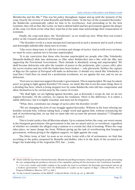Mensheviks and the SRs.<sup>59</sup> This was his policy throughout August and up until the moment of the coup. Exactly the reverse of what Brunello and Robles claim, "in the face of the scoundrel Kerensky" the Bolsheviks systematically called for him to be overthrown. And pretending to be the best Leninists, they tell us that, like Lenin, we had to *defend* Isabel and her government against the *danger* of the coup. Let them revise what they want but at the same time acknowledge their renunciation of Leninism.

Finally, the coup took place, the "Kornilovazo", as we would say now. What then was Lenin's policy as the *Cossacks advanced on Petrograd*?

"The Kornilov revolt is a most unexpected (unexpected at such a moment and in such a form) and downright unbelievably sharp turn in events.

"Like every sharp turn, it calls for a revision and change of tactics. And as with every revision, we must be extra cautious not to become unprincipled.

"It is my conviction that those who become unprincipled are people who (like Volodarsky [Brunello-Robles]) slide into defencism or (like other Bolsheviks) into a *bloc* with the SRs, into *supporting* the Provisional Government. Their attitude is absolutely wrong and unprincipled. We shall become defencists *only after* the transfer of power to the proletariat, *after* a peace offer, *after*  the secret treaties and ties with the banks have been broken — *only afterwards*. Neither the capture of Riga *nor the capture of Petrograd* will make us defencists. (I should very much like Volodarsky to read this.) Until then we stand for a proletarian revolution, we are against the war, and we are no defencists.

"*Even now* we must not support Kerensky's government. This is unprincipled. We may be asked: aren't we going to fight against Kornilov? Of course, we must! But this is not the same thing; there is a dividing line here, which is being stepped over by some Bolsheviks who fall into compromise and allow themselves to be *carried away* by the course of events.

"We shall fight, we are fighting against Kornilov, *just as* Kerensky's *troops do*, but we do not support Kerensky. *On the contrary*, we expose his weakness. There is the difference. It is rather a subtle difference, but it is highly essential. and must not be forgotten.

"What, then, constitutes our change of tactics after the Kornilov revolt?

"We are changing the *form* of our struggle against Kerensky. Without in the least relaxing our hostility towards him, without taking back, a single word said against him, without renouncing the task of overthrowing him, we say that we must *take into account* the present situation."60 [Emphasis by Lenin.]

This is Lenin's policy that all Marxism adopts. Up to a minute before the coup, our worst enemy is the bourgeois government: this government is the one we attack and try to overthrow, regardless of whether we consider the alleged coup a rumour or a certain fact that is looming. When the coup takes place, we must change the form. Without giving up the task of overthrowing that bourgeois government, without giving it the slightest support, we fight against the coup.

The bitter irony of fate! As soon as we review Lenin with a bit of seriousness, we find that according to the policy proposed by Brunello and Robles, who is in the dock of the accused is no longer the leadership of the Argentine PST, but ... Lenin.

<sup>59</sup> "Down with the war! Down with the Kerensky, Menshevik and SR government, which is cheating the people, protracting the war, safeguarding the predatory interests of the capitalists, putting off the elections to the Constituent Assembly! "(…) Let every worker and soldier explain to the people the need to overthrow the Kerensky government and set up a workers' government." ("Letter Over the Publication of 'Leaflet on the Capture of Riga'", *Collected Works*, Vol 41, Progress Publishers, Moscow, 1977, p. 446.)

<sup>60</sup> "To the Central Committee of the RSDLP", *Collected Works*, Vol 25, op. cit., p. 289-290.